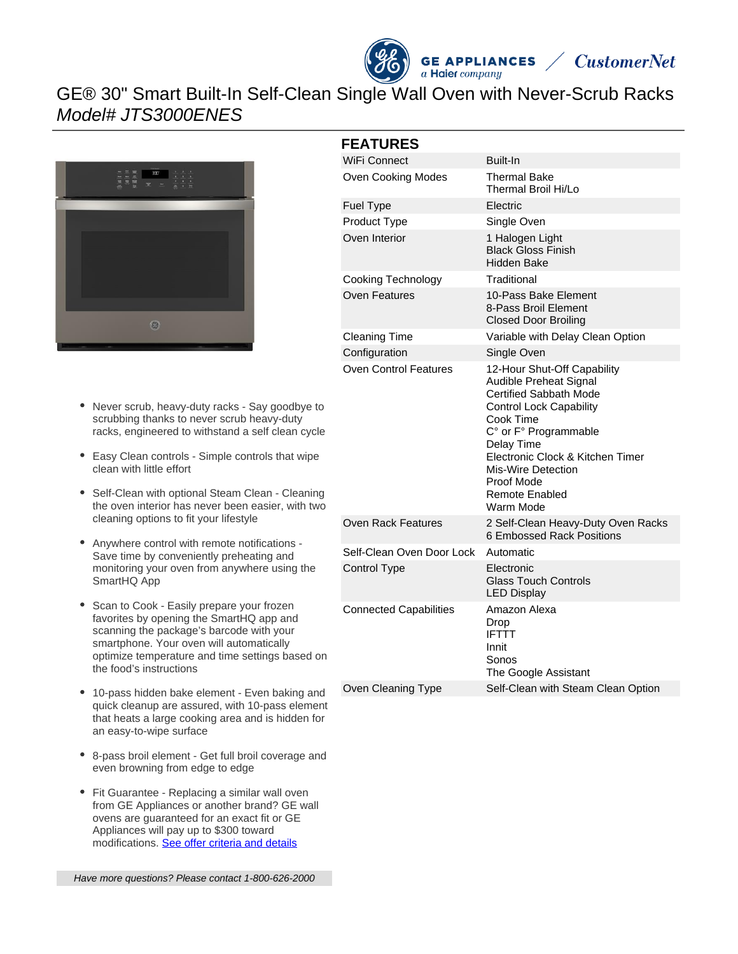



# GE® 30" Smart Built-In Self-Clean Single Wall Oven with Never-Scrub Racks Model# JTS3000ENES



#### Never scrub, heavy-duty racks - Say goodbye to scrubbing thanks to never scrub heavy-duty racks, engineered to withstand a self clean cycle

- Easy Clean controls Simple controls that wipe clean with little effort
- Self-Clean with optional Steam Clean Cleaning the oven interior has never been easier, with two cleaning options to fit your lifestyle
- Anywhere control with remote notifications  $\bullet$ Save time by conveniently preheating and monitoring your oven from anywhere using the SmartHQ App
- Scan to Cook Easily prepare your frozen favorites by opening the SmartHQ app and scanning the package's barcode with your smartphone. Your oven will automatically optimize temperature and time settings based on the food's instructions
- 10-pass hidden bake element Even baking and quick cleanup are assured, with 10-pass element that heats a large cooking area and is hidden for an easy-to-wipe surface
- 8-pass broil element Get full broil coverage and even browning from edge to edge
- Fit Guarantee Replacing a similar wall oven from GE Appliances or another brand? GE wall ovens are guaranteed for an exact fit or GE Appliances will pay up to \$300 toward modifications. [See offer criteria and details](http://www.geappliances.com/ge-fits)

|  |  | Have more questions? Please contact 1-800-626-2000 |
|--|--|----------------------------------------------------|
|  |  |                                                    |

### **FEATURES**

| WiFi Connect                  | Built-In                                                                                                                                                                                                                                                                            |  |  |  |
|-------------------------------|-------------------------------------------------------------------------------------------------------------------------------------------------------------------------------------------------------------------------------------------------------------------------------------|--|--|--|
| Oven Cooking Modes            | Thermal Bake<br>Thermal Broil Hi/Lo                                                                                                                                                                                                                                                 |  |  |  |
| Fuel Type                     | Electric                                                                                                                                                                                                                                                                            |  |  |  |
| Product Type                  | Single Oven                                                                                                                                                                                                                                                                         |  |  |  |
| Oven Interior                 | 1 Halogen Light<br><b>Black Gloss Finish</b><br>Hidden Bake                                                                                                                                                                                                                         |  |  |  |
| Cooking Technology            | Traditional                                                                                                                                                                                                                                                                         |  |  |  |
| <b>Oven Features</b>          | 10-Pass Bake Element<br>8-Pass Broil Element<br><b>Closed Door Broiling</b>                                                                                                                                                                                                         |  |  |  |
| <b>Cleaning Time</b>          | Variable with Delay Clean Option                                                                                                                                                                                                                                                    |  |  |  |
| Configuration                 | Single Oven                                                                                                                                                                                                                                                                         |  |  |  |
| <b>Oven Control Features</b>  | 12-Hour Shut-Off Capability<br>Audible Preheat Signal<br>Certified Sabbath Mode<br><b>Control Lock Capability</b><br>Cook Time<br>C° or F° Programmable<br>Delay Time<br>Electronic Clock & Kitchen Timer<br>Mis-Wire Detection<br>Proof Mode<br><b>Remote Enabled</b><br>Warm Mode |  |  |  |
| <b>Oven Rack Features</b>     | 2 Self-Clean Heavy-Duty Oven Racks<br>6 Embossed Rack Positions                                                                                                                                                                                                                     |  |  |  |
| Self-Clean Oven Door Lock     | Automatic                                                                                                                                                                                                                                                                           |  |  |  |
| <b>Control Type</b>           | Electronic<br><b>Glass Touch Controls</b><br><b>LED Display</b>                                                                                                                                                                                                                     |  |  |  |
| <b>Connected Capabilities</b> | Amazon Alexa<br>Drop<br><b>IFTTT</b><br>Innit<br>Sonos<br>The Google Assistant                                                                                                                                                                                                      |  |  |  |
| Oven Cleaning Type            | Self-Clean with Steam Clean Option                                                                                                                                                                                                                                                  |  |  |  |